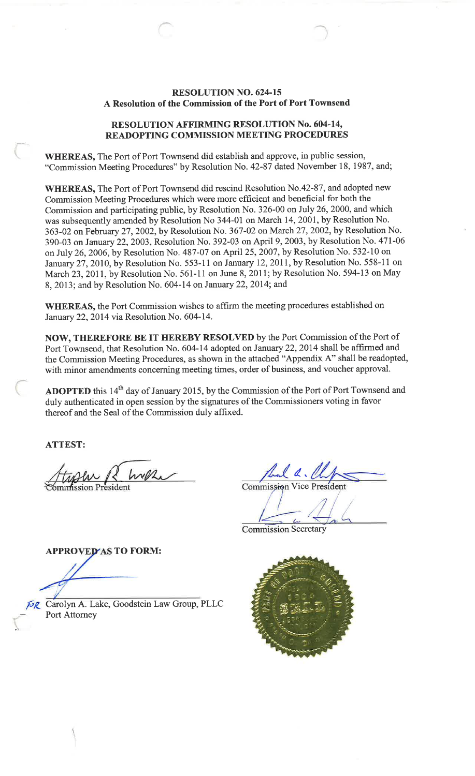#### **RESOLUTION NO. 624-15** A Resolution of the Commission of the Port of Port Townsend

#### **RESOLUTION AFFIRMING RESOLUTION No. 604-14, READOPTING COMMISSION MEETING PROCEDURES**

WHEREAS, The Port of Port Townsend did establish and approve, in public session, "Commission Meeting Procedures" by Resolution No. 42-87 dated November 18, 1987, and;

WHEREAS, The Port of Port Townsend did rescind Resolution No.42-87, and adopted new Commission Meeting Procedures which were more efficient and beneficial for both the Commission and participating public, by Resolution No. 326-00 on July 26, 2000, and which was subsequently amended by Resolution No 344-01 on March 14, 2001, by Resolution No. 363-02 on February 27, 2002, by Resolution No. 367-02 on March 27, 2002, by Resolution No. 390-03 on January 22, 2003, Resolution No. 392-03 on April 9, 2003, by Resolution No. 471-06 on July 26, 2006, by Resolution No. 487-07 on April 25, 2007, by Resolution No. 532-10 on January 27, 2010, by Resolution No. 553-11 on January 12, 2011, by Resolution No. 558-11 on March 23, 2011, by Resolution No. 561-11 on June 8, 2011; by Resolution No. 594-13 on May 8, 2013; and by Resolution No. 604-14 on January 22, 2014; and

WHEREAS, the Port Commission wishes to affirm the meeting procedures established on January 22, 2014 via Resolution No. 604-14.

NOW, THEREFORE BE IT HEREBY RESOLVED by the Port Commission of the Port of Port Townsend, that Resolution No. 604-14 adopted on January 22, 2014 shall be affirmed and the Commission Meeting Procedures, as shown in the attached "Appendix A" shall be readopted, with minor amendments concerning meeting times, order of business, and voucher approval.

ADOPTED this 14<sup>th</sup> day of January 2015, by the Commission of the Port of Port Townsend and duly authenticated in open session by the signatures of the Commissioners voting in favor thereof and the Seal of the Commission duly affixed.

**ATTEST:** 

hal a. le Commission

**Commission Secretary** 

**APPROVED AS TO FORM:** 

**ER** Carolyn A. Lake, Goodstein Law Group, PLLC Port Attorney

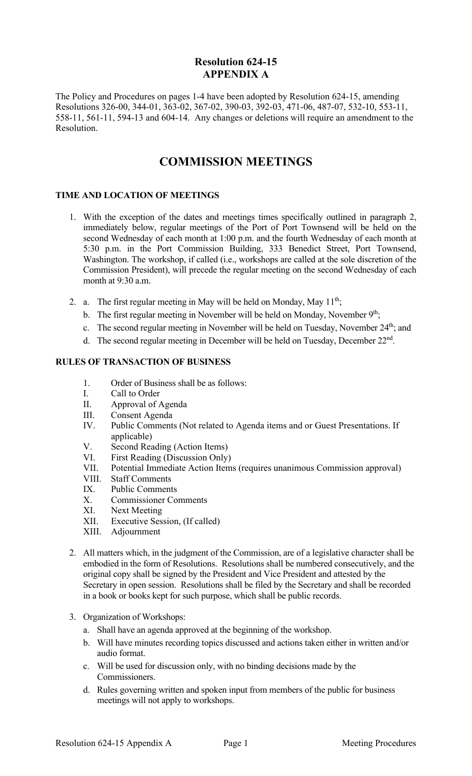# **Resolution 624-15 APPENDIX A**

The Policy and Procedures on pages 1-4 have been adopted by Resolution 624-15, amending Resolutions 326-00, 344-01, 363-02, 367-02, 390-03, 392-03, 471-06, 487-07, 532-10, 553-11, 558-11, 561-11, 594-13 and 604-14. Any changes or deletions will require an amendment to the Resolution.

# **COMMISSION MEETINGS**

## **TIME AND LOCATION OF MEETINGS**

- 1. With the exception of the dates and meetings times specifically outlined in paragraph 2, immediately below, regular meetings of the Port of Port Townsend will be held on the second Wednesday of each month at 1:00 p.m. and the fourth Wednesday of each month at 5:30 p.m. in the Port Commission Building, 333 Benedict Street, Port Townsend, Washington. The workshop, if called (i.e., workshops are called at the sole discretion of the Commission President), will precede the regular meeting on the second Wednesday of each month at 9:30 a.m.
- 2. a. The first regular meeting in May will be held on Monday, May  $11^{th}$ ;
	- b. The first regular meeting in November will be held on Monday, November  $9<sup>th</sup>$ ;
	- c. The second regular meeting in November will be held on Tuesday, November 24<sup>th</sup>; and
	- d. The second regular meeting in December will be held on Tuesday, December  $22<sup>nd</sup>$ .

### **RULES OF TRANSACTION OF BUSINESS**

- 1. Order of Business shall be as follows:
- I. Call to Order
- II. Approval of Agenda
- III. Consent Agenda
- IV. Public Comments (Not related to Agenda items and or Guest Presentations. If applicable)
- V. Second Reading (Action Items)
- VI. First Reading (Discussion Only)
- VII. Potential Immediate Action Items (requires unanimous Commission approval)
- VIII. Staff Comments
- IX. Public Comments
- X. Commissioner Comments
- XI. Next Meeting
- XII. Executive Session, (If called)
- XIII. Adjournment
- 2. All matters which, in the judgment of the Commission, are of a legislative character shall be embodied in the form of Resolutions. Resolutions shall be numbered consecutively, and the original copy shall be signed by the President and Vice President and attested by the Secretary in open session. Resolutions shall be filed by the Secretary and shall be recorded in a book or books kept for such purpose, which shall be public records.
- 3. Organization of Workshops:
	- a. Shall have an agenda approved at the beginning of the workshop.
	- b. Will have minutes recording topics discussed and actions taken either in written and/or audio format.
	- c. Will be used for discussion only, with no binding decisions made by the Commissioners.
	- d. Rules governing written and spoken input from members of the public for business meetings will not apply to workshops.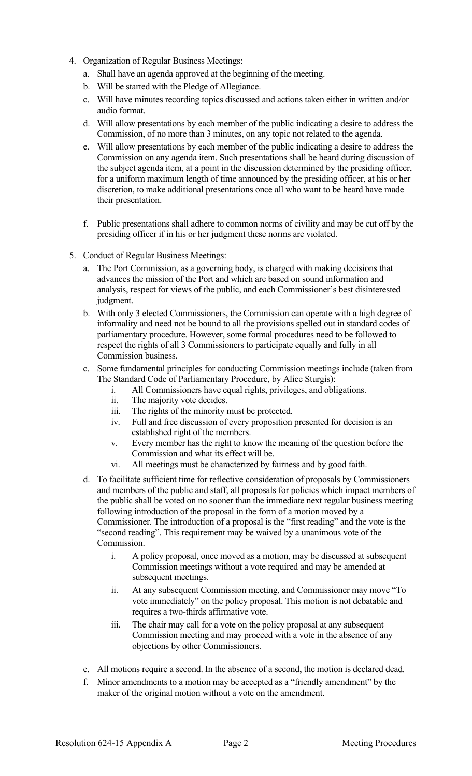- 4. Organization of Regular Business Meetings:
	- a. Shall have an agenda approved at the beginning of the meeting.
	- b. Will be started with the Pledge of Allegiance.
	- c. Will have minutes recording topics discussed and actions taken either in written and/or audio format.
	- d. Will allow presentations by each member of the public indicating a desire to address the Commission, of no more than 3 minutes, on any topic not related to the agenda.
	- e. Will allow presentations by each member of the public indicating a desire to address the Commission on any agenda item. Such presentations shall be heard during discussion of the subject agenda item, at a point in the discussion determined by the presiding officer, for a uniform maximum length of time announced by the presiding officer, at his or her discretion, to make additional presentations once all who want to be heard have made their presentation.
	- f. Public presentations shall adhere to common norms of civility and may be cut off by the presiding officer if in his or her judgment these norms are violated.
- 5. Conduct of Regular Business Meetings:
	- a. The Port Commission, as a governing body, is charged with making decisions that advances the mission of the Port and which are based on sound information and analysis, respect for views of the public, and each Commissioner's best disinterested judgment.
	- b. With only 3 elected Commissioners, the Commission can operate with a high degree of informality and need not be bound to all the provisions spelled out in standard codes of parliamentary procedure. However, some formal procedures need to be followed to respect the rights of all 3 Commissioners to participate equally and fully in all Commission business.
	- c. Some fundamental principles for conducting Commission meetings include (taken from The Standard Code of Parliamentary Procedure, by Alice Sturgis):
		- i. All Commissioners have equal rights, privileges, and obligations.
		- ii. The majority vote decides.
		- iii. The rights of the minority must be protected.
		- iv. Full and free discussion of every proposition presented for decision is an established right of the members.
		- v. Every member has the right to know the meaning of the question before the Commission and what its effect will be.
		- vi. All meetings must be characterized by fairness and by good faith.
	- d. To facilitate sufficient time for reflective consideration of proposals by Commissioners and members of the public and staff, all proposals for policies which impact members of the public shall be voted on no sooner than the immediate next regular business meeting following introduction of the proposal in the form of a motion moved by a Commissioner. The introduction of a proposal is the "first reading" and the vote is the "second reading". This requirement may be waived by a unanimous vote of the Commission.
		- i. A policy proposal, once moved as a motion, may be discussed at subsequent Commission meetings without a vote required and may be amended at subsequent meetings.
		- ii. At any subsequent Commission meeting, and Commissioner may move "To vote immediately" on the policy proposal. This motion is not debatable and requires a two-thirds affirmative vote.
		- iii. The chair may call for a vote on the policy proposal at any subsequent Commission meeting and may proceed with a vote in the absence of any objections by other Commissioners.
	- e. All motions require a second. In the absence of a second, the motion is declared dead.
	- f. Minor amendments to a motion may be accepted as a "friendly amendment" by the maker of the original motion without a vote on the amendment.